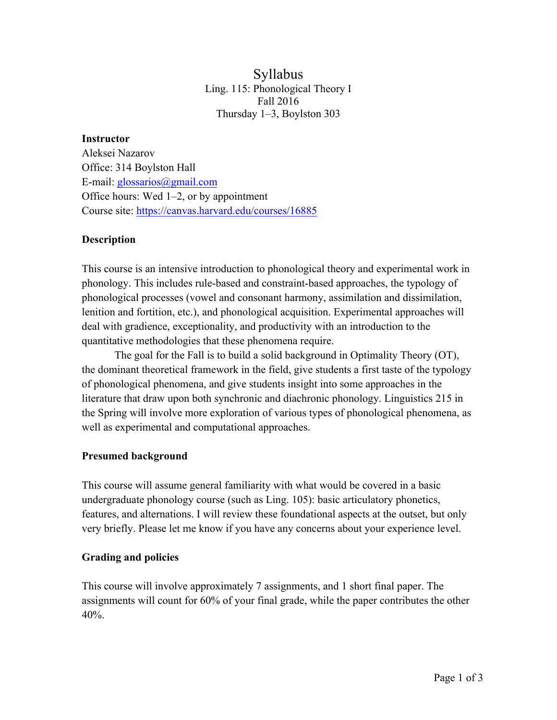# Syllabus Ling. 115: Phonological Theory I Fall 2016 Thursday 1–3, Boylston 303

#### **Instructor**

Aleksei Nazarov Office: 314 Boylston Hall E-mail: glossarios@gmail.com Office hours: Wed 1–2, or by appointment Course site: https://canvas.harvard.edu/courses/16885

# **Description**

This course is an intensive introduction to phonological theory and experimental work in phonology. This includes rule-based and constraint-based approaches, the typology of phonological processes (vowel and consonant harmony, assimilation and dissimilation, lenition and fortition, etc.), and phonological acquisition. Experimental approaches will deal with gradience, exceptionality, and productivity with an introduction to the quantitative methodologies that these phenomena require.

The goal for the Fall is to build a solid background in Optimality Theory (OT), the dominant theoretical framework in the field, give students a first taste of the typology of phonological phenomena, and give students insight into some approaches in the literature that draw upon both synchronic and diachronic phonology. Linguistics 215 in the Spring will involve more exploration of various types of phonological phenomena, as well as experimental and computational approaches.

## **Presumed background**

This course will assume general familiarity with what would be covered in a basic undergraduate phonology course (such as Ling. 105): basic articulatory phonetics, features, and alternations. I will review these foundational aspects at the outset, but only very briefly. Please let me know if you have any concerns about your experience level.

## **Grading and policies**

This course will involve approximately 7 assignments, and 1 short final paper. The assignments will count for 60% of your final grade, while the paper contributes the other 40%.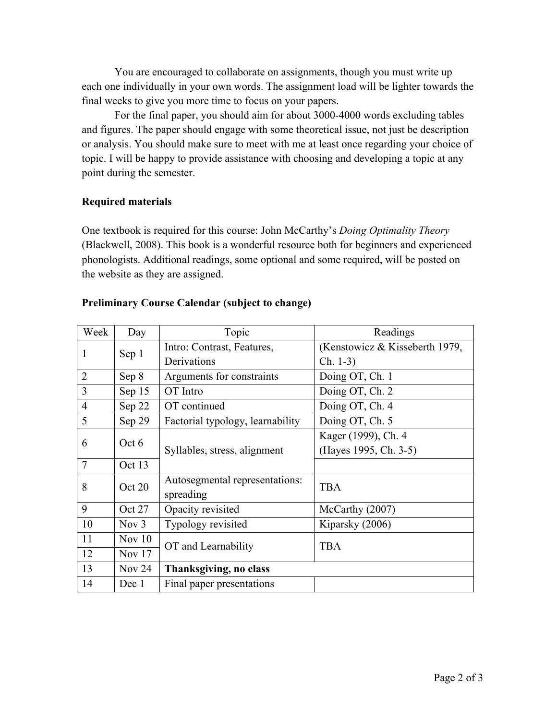You are encouraged to collaborate on assignments, though you must write up each one individually in your own words. The assignment load will be lighter towards the final weeks to give you more time to focus on your papers.

For the final paper, you should aim for about 3000-4000 words excluding tables and figures. The paper should engage with some theoretical issue, not just be description or analysis. You should make sure to meet with me at least once regarding your choice of topic. I will be happy to provide assistance with choosing and developing a topic at any point during the semester.

#### **Required materials**

One textbook is required for this course: John McCarthy's *Doing Optimality Theory* (Blackwell, 2008). This book is a wonderful resource both for beginners and experienced phonologists. Additional readings, some optional and some required, will be posted on the website as they are assigned.

| Week           | Day      | Topic                            | Readings                       |
|----------------|----------|----------------------------------|--------------------------------|
| 1              | Sep 1    | Intro: Contrast, Features,       | (Kenstowicz & Kisseberth 1979, |
|                |          | Derivations                      | $Ch. 1-3)$                     |
| $\overline{2}$ | Sep 8    | Arguments for constraints        | Doing OT, Ch. 1                |
| 3              | Sep 15   | OT Intro                         | Doing OT, Ch. 2                |
| $\overline{4}$ | Sep 22   | OT continued                     | Doing OT, Ch. 4                |
| 5              | Sep 29   | Factorial typology, learnability | Doing OT, Ch. 5                |
| 6              | Oct 6    | Syllables, stress, alignment     | Kager (1999), Ch. 4            |
|                |          |                                  | (Hayes 1995, Ch. 3-5)          |
| 7              | Oct 13   |                                  |                                |
| 8              | Oct 20   | Autosegmental representations:   | <b>TBA</b>                     |
|                |          | spreading                        |                                |
| 9              | Oct 27   | Opacity revisited                | McCarthy (2007)                |
| 10             | Nov $3$  | Typology revisited               | Kiparsky (2006)                |
| 11             | Nov $10$ | OT and Learnability              | <b>TBA</b>                     |
| 12             | Nov $17$ |                                  |                                |
| 13             | Nov $24$ | Thanksgiving, no class           |                                |
| 14             | Dec 1    | Final paper presentations        |                                |

#### **Preliminary Course Calendar (subject to change)**